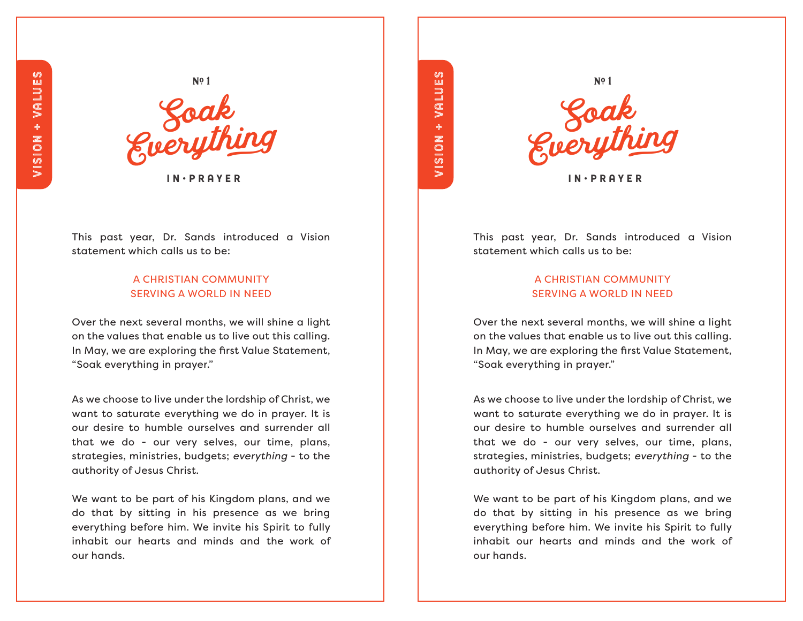

I N • P R A Y E R

This past year, Dr. Sands introduced a Vision statement which calls us to be:

## A CHRISTIAN COMMUNITY SERVING A WORLD IN NEED

Over the next several months, we will shine a light on the values that enable us to live out this calling. In May, we are exploring the first Value Statement, "Soak everything in prayer."

As we choose to live under the lordship of Christ, we want to saturate everything we do in prayer. It is our desire to humble ourselves and surrender all that we do - our very selves, our time, plans, strategies, ministries, budgets; *everything* - to the authority of Jesus Christ.

We want to be part of his Kingdom plans, and we do that by sitting in his presence as we bring everything before him. We invite his Spirit to fully inhabit our hearts and minds and the work of our hands.